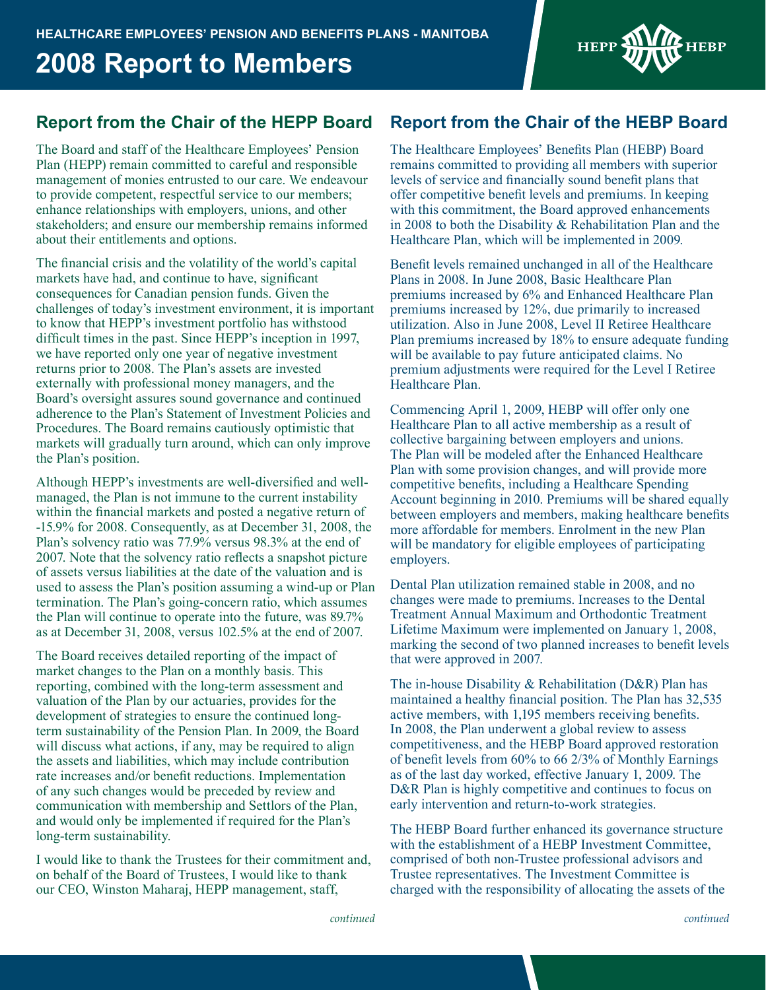# **2008 Report to Members**



The Board and staff of the Healthcare Employees' Pension Plan (HEPP) remain committed to careful and responsible management of monies entrusted to our care. We endeavour to provide competent, respectful service to our members; enhance relationships with employers, unions, and other stakeholders; and ensure our membership remains informed about their entitlements and options.

The financial crisis and the volatility of the world's capital markets have had, and continue to have, significant consequences for Canadian pension funds. Given the challenges of today's investment environment, it is important to know that HEPP's investment portfolio has withstood difficult times in the past. Since HEPP's inception in 1997, we have reported only one year of negative investment returns prior to 2008. The Plan's assets are invested externally with professional money managers, and the Board's oversight assures sound governance and continued adherence to the Plan's Statement of Investment Policies and Procedures. The Board remains cautiously optimistic that markets will gradually turn around, which can only improve the Plan's position.

Although HEPP's investments are well-diversified and wellmanaged, the Plan is not immune to the current instability within the financial markets and posted a negative return of -15.9% for 2008. Consequently, as at December 31, 2008, the Plan's solvency ratio was 77.9% versus 98.3% at the end of 2007. Note that the solvency ratio reflects a snapshot picture of assets versus liabilities at the date of the valuation and is used to assess the Plan's position assuming a wind-up or Plan termination. The Plan's going-concern ratio, which assumes the Plan will continue to operate into the future, was 89.7% as at December 31, 2008, versus 102.5% at the end of 2007.

The Board receives detailed reporting of the impact of market changes to the Plan on a monthly basis. This reporting, combined with the long-term assessment and valuation of the Plan by our actuaries, provides for the development of strategies to ensure the continued longterm sustainability of the Pension Plan. In 2009, the Board will discuss what actions, if any, may be required to align the assets and liabilities, which may include contribution rate increases and/or benefit reductions. Implementation of any such changes would be preceded by review and communication with membership and Settlors of the Plan, and would only be implemented if required for the Plan's long-term sustainability.

I would like to thank the Trustees for their commitment and, on behalf of the Board of Trustees, I would like to thank our CEO, Winston Maharaj, HEPP management, staff,

## **Report from the Chair of the HEPP Board Report from the Chair of the HEBP Board**

The Healthcare Employees' Benefits Plan (HEBP) Board remains committed to providing all members with superior levels of service and financially sound benefit plans that offer competitive benefit levels and premiums. In keeping with this commitment, the Board approved enhancements in 2008 to both the Disability & Rehabilitation Plan and the Healthcare Plan, which will be implemented in 2009.

Benefit levels remained unchanged in all of the Healthcare Plans in 2008. In June 2008, Basic Healthcare Plan premiums increased by 6% and Enhanced Healthcare Plan premiums increased by 12%, due primarily to increased utilization. Also in June 2008, Level II Retiree Healthcare Plan premiums increased by 18% to ensure adequate funding will be available to pay future anticipated claims. No premium adjustments were required for the Level I Retiree Healthcare Plan.

Commencing April 1, 2009, HEBP will offer only one Healthcare Plan to all active membership as a result of collective bargaining between employers and unions. The Plan will be modeled after the Enhanced Healthcare Plan with some provision changes, and will provide more competitive benefits, including a Healthcare Spending Account beginning in 2010. Premiums will be shared equally between employers and members, making healthcare benefits more affordable for members. Enrolment in the new Plan will be mandatory for eligible employees of participating employers.

Dental Plan utilization remained stable in 2008, and no changes were made to premiums. Increases to the Dental Treatment Annual Maximum and Orthodontic Treatment Lifetime Maximum were implemented on January 1, 2008, marking the second of two planned increases to benefit levels that were approved in 2007.

The in-house Disability & Rehabilitation (D&R) Plan has maintained a healthy financial position. The Plan has 32,535 active members, with 1,195 members receiving benefits. In 2008, the Plan underwent a global review to assess competitiveness, and the HEBP Board approved restoration of benefit levels from 60% to 66 2/3% of Monthly Earnings as of the last day worked, effective January 1, 2009. The D&R Plan is highly competitive and continues to focus on early intervention and return-to-work strategies.

The HEBP Board further enhanced its governance structure with the establishment of a HEBP Investment Committee, comprised of both non-Trustee professional advisors and Trustee representatives. The Investment Committee is charged with the responsibility of allocating the assets of the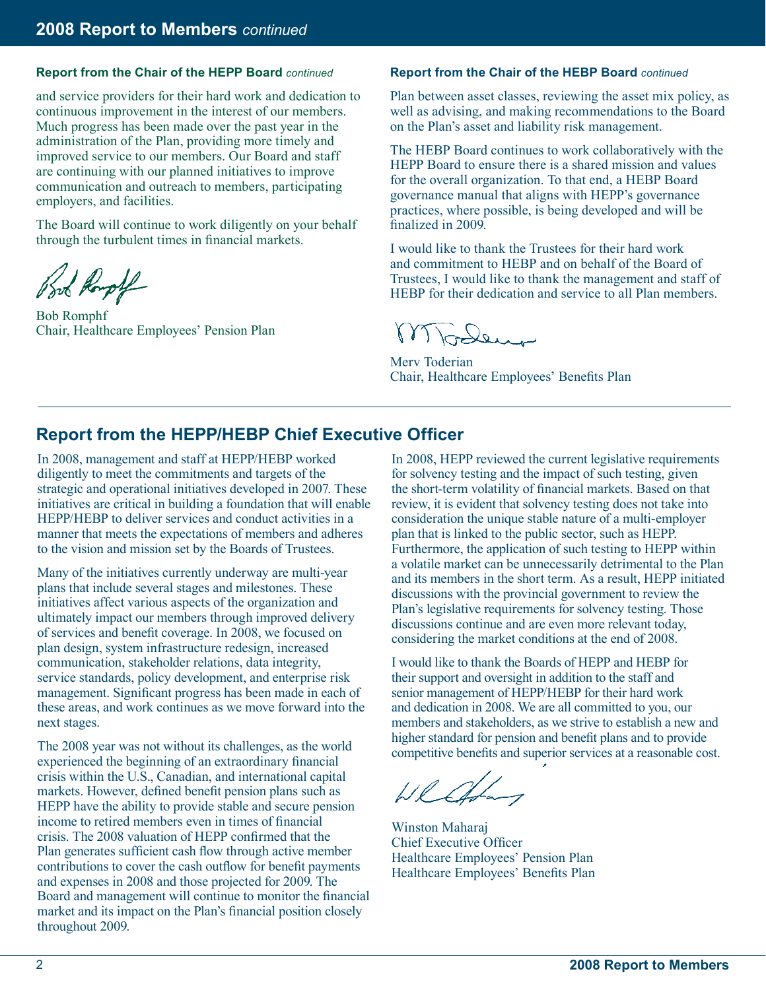#### **Report from the Chair of the HEPP Board** *continued* **Report from the Chair of the HEBP Board** *continued*

and service providers for their hard work and dedication to continuous improvement in the interest of our members. Much progress has been made over the past year in the administration of the Plan, providing more timely and improved service to our members. Our Board and staff are continuing with our planned initiatives to improve communication and outreach to members, participating employers, and facilities.

The Board will continue to work diligently on your behalf through the turbulent times in financial markets.

book Rough

Bob Romphf Chair, Healthcare Employees' Pension Plan

Plan between asset classes, reviewing the asset mix policy, as well as advising, and making recommendations to the Board on the Plan's asset and liability risk management.

The HEBP Board continues to work collaboratively with the HEPP Board to ensure there is a shared mission and values for the overall organization. To that end, a HEBP Board governance manual that aligns with HEPP's governance practices, where possible, is being developed and will be finalized in 2009.

I would like to thank the Trustees for their hard work and commitment to HEBP and on behalf of the Board of Trustees, I would like to thank the management and staff of HEBP for their dedication and service to all Plan members.

Todens

Merv Toderian Chair, Healthcare Employees' Benefits Plan

## **Report from the HEPP/HEBP Chief Executive Officer**

In 2008, management and staff at HEPP/HEBP worked diligently to meet the commitments and targets of the strategic and operational initiatives developed in 2007. These initiatives are critical in building a foundation that will enable HEPP/HEBP to deliver services and conduct activities in a manner that meets the expectations of members and adheres to the vision and mission set by the Boards of Trustees.

Many of the initiatives currently underway are multi-year plans that include several stages and milestones. These initiatives affect various aspects of the organization and ultimately impact our members through improved delivery of services and benefit coverage. In 2008, we focused on plan design, system infrastructure redesign, increased communication, stakeholder relations, data integrity, service standards, policy development, and enterprise risk management. Significant progress has been made in each of these areas, and work continues as we move forward into the next stages.

The 2008 year was not without its challenges, as the world experienced the beginning of an extraordinary financial crisis within the U.S., Canadian, and international capital markets. However, defined benefit pension plans such as HEPP have the ability to provide stable and secure pension income to retired members even in times of financial crisis. The 2008 valuation of HEPP confirmed that the Plan generates sufficient cash flow through active member contributions to cover the cash outflow for benefit payments and expenses in 2008 and those projected for 2009. The Board and management will continue to monitor the financial market and its impact on the Plan's financial position closely throughout 2009.

In 2008, HEPP reviewed the current legislative requirements for solvency testing and the impact of such testing, given the short-term volatility of financial markets. Based on that review, it is evident that solvency testing does not take into consideration the unique stable nature of a multi-employer plan that is linked to the public sector, such as HEPP. Furthermore, the application of such testing to HEPP within a volatile market can be unnecessarily detrimental to the Plan and its members in the short term. As a result, HEPP initiated discussions with the provincial government to review the Plan's legislative requirements for solvency testing. Those discussions continue and are even more relevant today, considering the market conditions at the end of 2008.

I would like to thank the Boards of HEPP and HEBP for their support and oversight in addition to the staff and senior management of HEPP/HEBP for their hard work and dedication in 2008. We are all committed to you, our members and stakeholders, as we strive to establish a new and higher standard for pension and benefit plans and to provide competitive benefits and superior services at a reasonable cost.

Wlathay

Winston Maharaj Chief Executive Officer Healthcare Employees' Pension Plan Healthcare Employees' Benefits Plan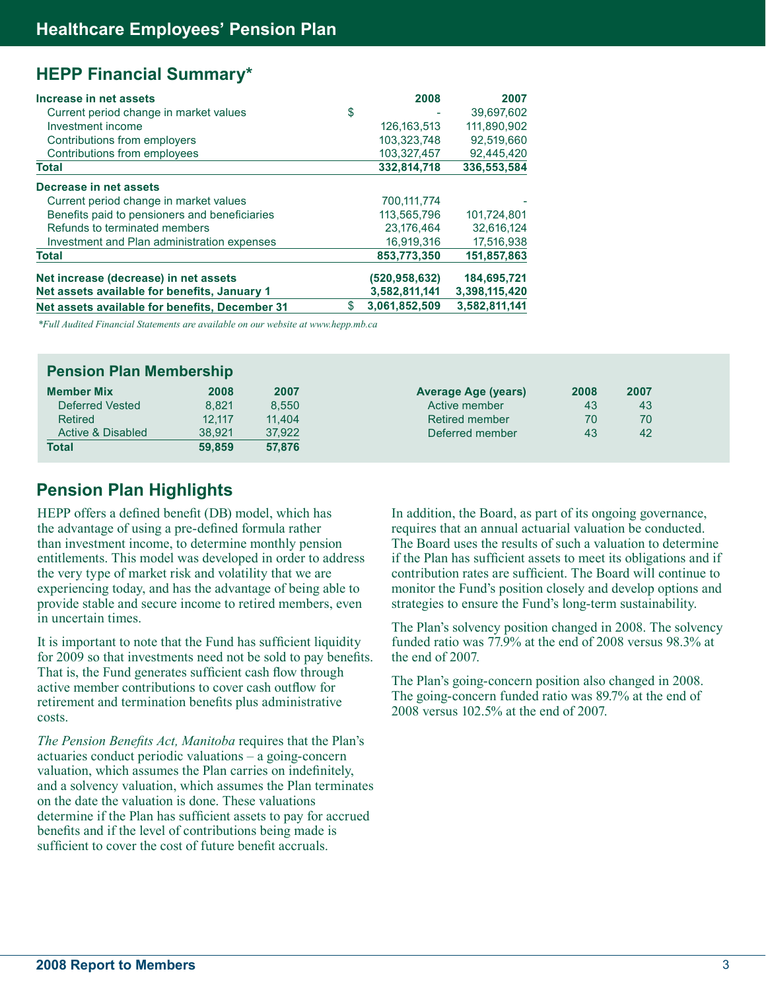## **HEPP Financial Summary\***

| Increase in net assets                         | 2008                | 2007          |
|------------------------------------------------|---------------------|---------------|
| Current period change in market values         | \$                  | 39,697,602    |
| Investment income                              | 126, 163, 513       | 111,890,902   |
| Contributions from employers                   | 103.323.748         | 92,519,660    |
| Contributions from employees                   | 103,327,457         | 92,445,420    |
| <b>Total</b>                                   | 332,814,718         | 336,553,584   |
| Decrease in net assets                         |                     |               |
| Current period change in market values         | 700,111,774         |               |
| Benefits paid to pensioners and beneficiaries  | 113.565.796         | 101.724.801   |
| Refunds to terminated members                  | 23,176,464          | 32,616,124    |
| Investment and Plan administration expenses    | 16,919,316          | 17,516,938    |
| <b>Total</b>                                   | 853.773.350         | 151,857,863   |
| Net increase (decrease) in net assets          | (520.958.632)       | 184,695,721   |
| Net assets available for benefits, January 1   | 3,582,811,141       | 3,398,115,420 |
| Net assets available for benefits, December 31 | \$<br>3,061,852,509 | 3,582,811,141 |

*\*Full Audited Financial Statements are available on our website at www.hepp.mb.ca*

| <b>Pension Plan Membership</b> |        |        |                            |      |      |  |
|--------------------------------|--------|--------|----------------------------|------|------|--|
| <b>Member Mix</b>              | 2008   | 2007   | <b>Average Age (years)</b> | 2008 | 2007 |  |
| Deferred Vested                | 8.821  | 8.550  | Active member              | 43   | 43   |  |
| Retired                        | 12.117 | 11.404 | Retired member             | 70   | 70   |  |
| Active & Disabled              | 38.921 | 37.922 | Deferred member            | 43   | 42   |  |
| <b>Total</b>                   | 59.859 | 57,876 |                            |      |      |  |

## **Pension Plan Highlights**

HEPP offers a defined benefit (DB) model, which has the advantage of using a pre-defined formula rather than investment income, to determine monthly pension entitlements. This model was developed in order to address the very type of market risk and volatility that we are experiencing today, and has the advantage of being able to provide stable and secure income to retired members, even in uncertain times.

It is important to note that the Fund has sufficient liquidity for 2009 so that investments need not be sold to pay benefits. That is, the Fund generates sufficient cash flow through active member contributions to cover cash outflow for retirement and termination benefits plus administrative costs.

*The Pension Benefits Act, Manitoba* requires that the Plan's actuaries conduct periodic valuations – a going-concern valuation, which assumes the Plan carries on indefinitely, and a solvency valuation, which assumes the Plan terminates on the date the valuation is done. These valuations determine if the Plan has sufficient assets to pay for accrued benefits and if the level of contributions being made is sufficient to cover the cost of future benefit accruals.

In addition, the Board, as part of its ongoing governance, requires that an annual actuarial valuation be conducted. The Board uses the results of such a valuation to determine if the Plan has sufficient assets to meet its obligations and if contribution rates are sufficient. The Board will continue to monitor the Fund's position closely and develop options and strategies to ensure the Fund's long-term sustainability.

The Plan's solvency position changed in 2008. The solvency funded ratio was 77.9% at the end of 2008 versus 98.3% at the end of 2007.

The Plan's going-concern position also changed in 2008. The going-concern funded ratio was 89.7% at the end of 2008 versus 102.5% at the end of 2007.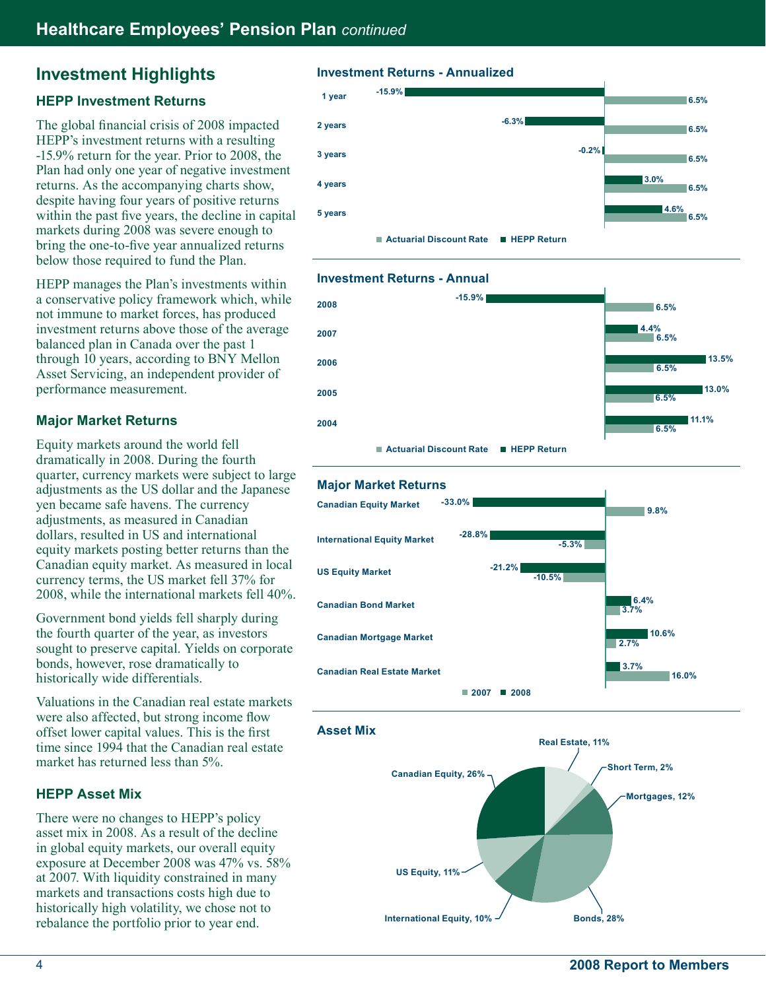## **Investment Highlights**

### **HEPP Investment Returns**

The global financial crisis of 2008 impacted HEPP's investment returns with a resulting -15.9% return for the year. Prior to 2008, the Plan had only one year of negative investment returns. As the accompanying charts show, despite having four years of positive returns within the past five years, the decline in capital markets during 2008 was severe enough to bring the one-to-five year annualized returns below those required to fund the Plan.

HEPP manages the Plan's investments within a conservative policy framework which, while not immune to market forces, has produced investment returns above those of the average balanced plan in Canada over the past 1 through 10 years, according to BNY Mellon Asset Servicing, an independent provider of performance measurement.

### **Major Market Returns**

Equity markets around the world fell dramatically in 2008. During the fourth quarter, currency markets were subject to large adjustments as the US dollar and the Japanese yen became safe havens. The currency adjustments, as measured in Canadian dollars, resulted in US and international equity markets posting better returns than the Canadian equity market. As measured in local currency terms, the US market fell 37% for 2008, while the international markets fell 40%.

Government bond yields fell sharply during the fourth quarter of the year, as investors sought to preserve capital. Yields on corporate bonds, however, rose dramatically to historically wide differentials.

Valuations in the Canadian real estate markets were also affected, but strong income flow offset lower capital values. This is the first time since 1994 that the Canadian real estate market has returned less than 5%.

### **HEPP Asset Mix**

There were no changes to HEPP's policy asset mix in 2008. As a result of the decline in global equity markets, our overall equity exposure at December 2008 was 47% vs. 58% at 2007. With liquidity constrained in many markets and transactions costs high due to historically high volatility, we chose not to rebalance the portfolio prior to year end.

### **Investment Returns - Annualized**



### **Investment Returns - Annual**







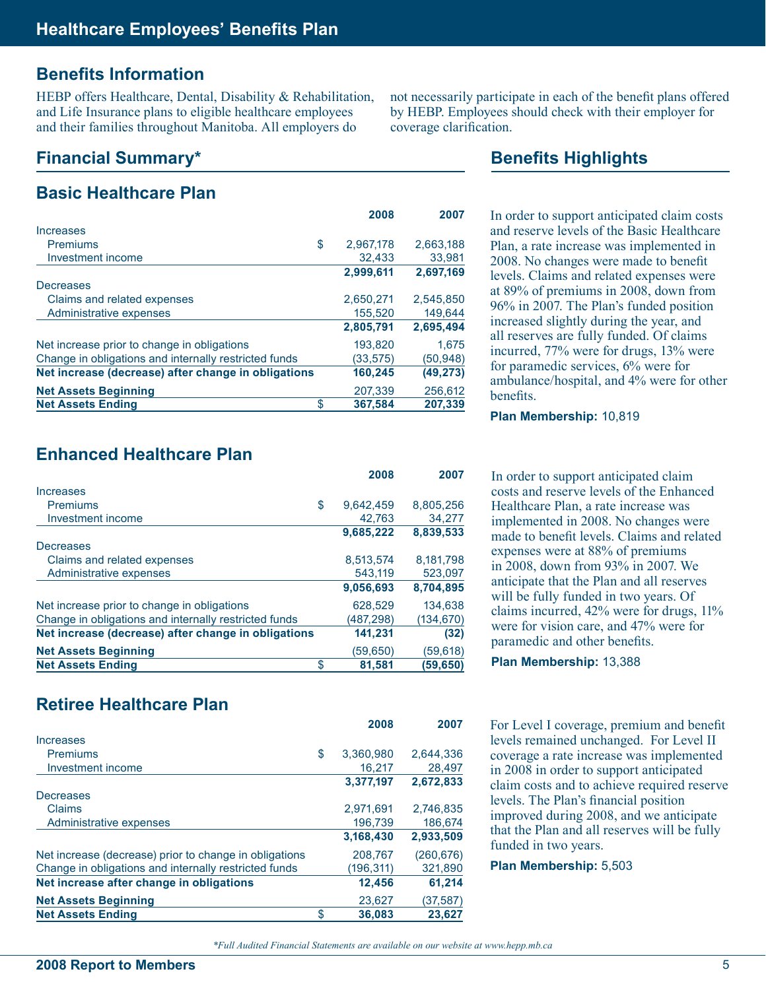## **Benefits Information**

HEBP offers Healthcare, Dental, Disability & Rehabilitation, and Life Insurance plans to eligible healthcare employees and their families throughout Manitoba. All employers do

## **Financial Summary\***

|                                                       | 2008      | 2007      |
|-------------------------------------------------------|-----------|-----------|
| Increases                                             |           |           |
| <b>Premiums</b><br>\$                                 | 2,967,178 | 2,663,188 |
| Investment income                                     | 32,433    | 33,981    |
|                                                       | 2,999,611 | 2,697,169 |
| Decreases                                             |           |           |
| Claims and related expenses                           | 2.650.271 | 2.545.850 |
| Administrative expenses                               | 155,520   | 149,644   |
|                                                       | 2,805,791 | 2,695,494 |
| Net increase prior to change in obligations           | 193.820   | 1.675     |
| Change in obligations and internally restricted funds | (33, 575) | (50, 948) |
| Net increase (decrease) after change in obligations   | 160,245   | (49, 273) |
| <b>Net Assets Beginning</b>                           | 207.339   | 256,612   |
| <b>Net Assets Ending</b><br>\$                        | 367.584   | 207.339   |

not necessarily participate in each of the benefit plans offered by HEBP. Employees should check with their employer for coverage clarification.

## **Benefits Highlights**

In order to support anticipated claim costs and reserve levels of the Basic Healthcare Plan, a rate increase was implemented in 2008. No changes were made to benefit levels. Claims and related expenses were at 89% of premiums in 2008, down from 96% in 2007. The Plan's funded position increased slightly during the year, and all reserves are fully funded. Of claims incurred, 77% were for drugs, 13% were for paramedic services, 6% were for ambulance/hospital, and 4% were for other benefits.

#### **Plan Membership:** 10,819

In order to support anticipated claim costs and reserve levels of the Enhanced Healthcare Plan, a rate increase was implemented in 2008. No changes were made to benefit levels. Claims and related expenses were at 88% of premiums in 2008, down from 93% in 2007. We anticipate that the Plan and all reserves will be fully funded in two years. Of claims incurred, 42% were for drugs, 11% were for vision care, and 47% were for paramedic and other benefits.

**Plan Membership:** 13,388

For Level I coverage, premium and benefit levels remained unchanged. For Level II coverage a rate increase was implemented in 2008 in order to support anticipated claim costs and to achieve required reserve levels. The Plan's financial position improved during 2008, and we anticipate that the Plan and all reserves will be fully funded in two years.

**Plan Membership:** 5,503

## **Enhanced Healthcare Plan**

|                                                       | 2008            | 2007       |
|-------------------------------------------------------|-----------------|------------|
| Increases                                             |                 |            |
| <b>Premiums</b>                                       | \$<br>9.642.459 | 8,805,256  |
| Investment income                                     | 42.763          | 34,277     |
|                                                       | 9,685,222       | 8,839,533  |
| Decreases                                             |                 |            |
| Claims and related expenses                           | 8,513,574       | 8,181,798  |
| Administrative expenses                               | 543.119         | 523,097    |
|                                                       | 9,056,693       | 8,704,895  |
| Net increase prior to change in obligations           | 628,529         | 134.638    |
| Change in obligations and internally restricted funds | (487,298)       | (134, 670) |
| Net increase (decrease) after change in obligations   | 141,231         | (32)       |
| <b>Net Assets Beginning</b>                           | (59,650)        | (59,618)   |
| <b>Net Assets Ending</b>                              | \$<br>81,581    | (59,650)   |

## **Retiree Healthcare Plan**

|                                                        | 2008            | 2007       |
|--------------------------------------------------------|-----------------|------------|
| Increases                                              |                 |            |
| Premiums                                               | \$<br>3,360,980 | 2,644,336  |
| Investment income                                      | 16.217          | 28,497     |
|                                                        | 3,377,197       | 2,672,833  |
| Decreases                                              |                 |            |
| Claims                                                 | 2.971.691       | 2.746.835  |
| Administrative expenses                                | 196.739         | 186,674    |
|                                                        | 3,168,430       | 2,933,509  |
| Net increase (decrease) prior to change in obligations | 208,767         | (260, 676) |
| Change in obligations and internally restricted funds  | (196,311)       | 321,890    |
| Net increase after change in obligations               | 12,456          | 61,214     |
| <b>Net Assets Beginning</b>                            | 23,627          | (37,587)   |
| <b>Net Assets Ending</b>                               | \$<br>36,083    | 23.627     |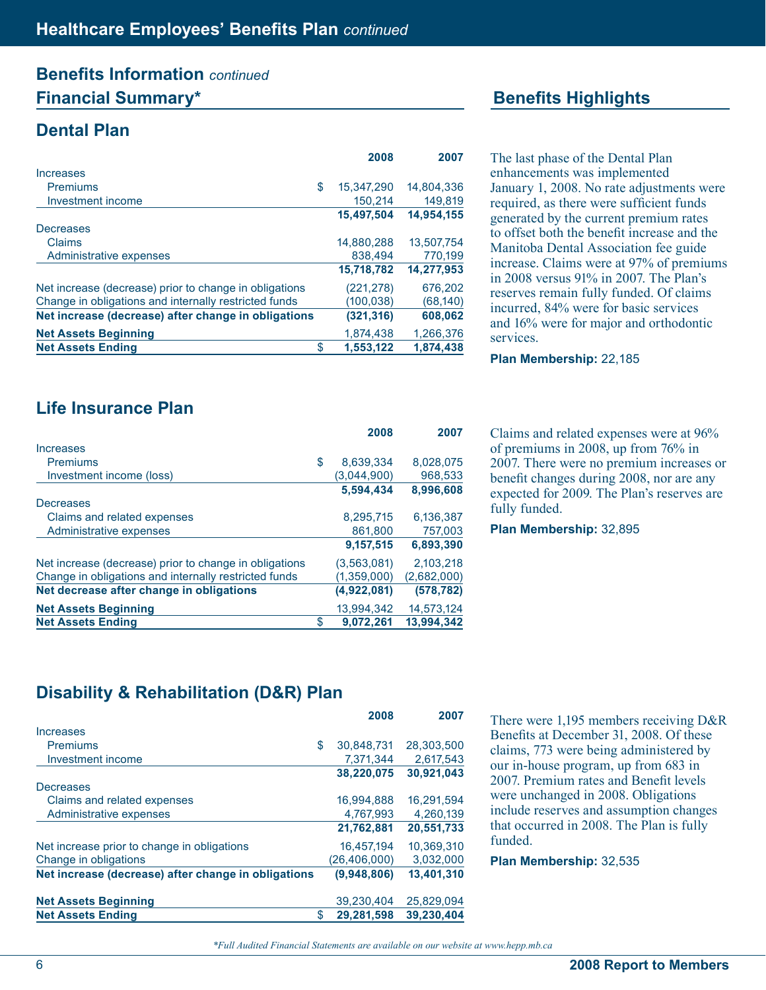## **Benefits Information** *continued* **Financial Summary\* Benefits Highlights**

## **Dental Plan**

|                                                        | 2008             | 2007       |
|--------------------------------------------------------|------------------|------------|
| Increases                                              |                  |            |
| Premiums                                               | \$<br>15,347,290 | 14.804.336 |
| Investment income                                      | 150.214          | 149.819    |
|                                                        | 15.497.504       | 14,954,155 |
| Decreases                                              |                  |            |
| Claims                                                 | 14,880,288       | 13.507.754 |
| Administrative expenses                                | 838,494          | 770,199    |
|                                                        | 15,718,782       | 14,277,953 |
| Net increase (decrease) prior to change in obligations | (221,278)        | 676,202    |
| Change in obligations and internally restricted funds  | (100,038)        | (68, 140)  |
| Net increase (decrease) after change in obligations    | (321,316)        | 608,062    |
| <b>Net Assets Beginning</b>                            | 1.874.438        | 1,266,376  |
| <b>Net Assets Ending</b>                               | \$<br>1,553,122  | 1,874,438  |

The last phase of the Dental Plan enhancements was implemented January 1, 2008. No rate adjustments were required, as there were sufficient funds generated by the current premium rates to offset both the benefit increase and the Manitoba Dental Association fee guide increase. Claims were at 97% of premiums in 2008 versus 91% in 2007. The Plan's reserves remain fully funded. Of claims incurred, 84% were for basic services and 16% were for major and orthodontic services.

**Plan Membership:** 22,185

Claims and related expenses were at 96% of premiums in 2008, up from 76% in 2007. There were no premium increases or benefit changes during 2008, nor are any expected for 2009. The Plan's reserves are fully funded.

**Plan Membership:** 32,895

## **Life Insurance Plan**

|                                                        | 2008            | 2007        |
|--------------------------------------------------------|-----------------|-------------|
| Increases                                              |                 |             |
| <b>Premiums</b>                                        | \$<br>8.639.334 | 8.028.075   |
| Investment income (loss)                               | (3,044,900)     | 968,533     |
|                                                        | 5.594.434       | 8,996,608   |
| Decreases                                              |                 |             |
| Claims and related expenses                            | 8.295.715       | 6,136,387   |
| Administrative expenses                                | 861,800         | 757,003     |
|                                                        | 9,157,515       | 6,893,390   |
| Net increase (decrease) prior to change in obligations | (3,563,081)     | 2.103.218   |
| Change in obligations and internally restricted funds  | (1,359,000)     | (2,682,000) |
| Net decrease after change in obligations               | (4,922,081)     | (578, 782)  |
| <b>Net Assets Beginning</b>                            | 13.994.342      | 14,573,124  |
| <b>Net Assets Ending</b>                               | \$<br>9.072.261 | 13,994,342  |

## **Disability & Rehabilitation (D&R) Plan**

|                                                     |    | 2008           | 2007       |
|-----------------------------------------------------|----|----------------|------------|
| Increases                                           |    |                |            |
| Premiums                                            | \$ | 30.848.731     | 28.303.500 |
| Investment income                                   |    | 7,371,344      | 2,617,543  |
|                                                     |    | 38,220,075     | 30,921,043 |
| Decreases                                           |    |                |            |
| Claims and related expenses                         |    | 16.994.888     | 16.291.594 |
| Administrative expenses                             |    | 4,767,993      | 4,260,139  |
|                                                     |    | 21,762,881     | 20,551,733 |
| Net increase prior to change in obligations         |    | 16,457,194     | 10.369.310 |
| Change in obligations                               |    | (26, 406, 000) | 3,032,000  |
| Net increase (decrease) after change in obligations |    | (9,948,806)    | 13,401,310 |
| <b>Net Assets Beginning</b>                         |    | 39,230,404     | 25,829,094 |
| <b>Net Assets Ending</b>                            | S  | 29.281.598     | 39.230.404 |

There were 1,195 members receiving D&R Benefits at December 31, 2008. Of these claims, 773 were being administered by our in-house program, up from 683 in 2007. Premium rates and Benefit levels were unchanged in 2008. Obligations include reserves and assumption changes that occurred in 2008. The Plan is fully funded.

**Plan Membership:** 32,535

*<sup>\*</sup>Full Audited Financial Statements are available on our website at www.hepp.mb.ca*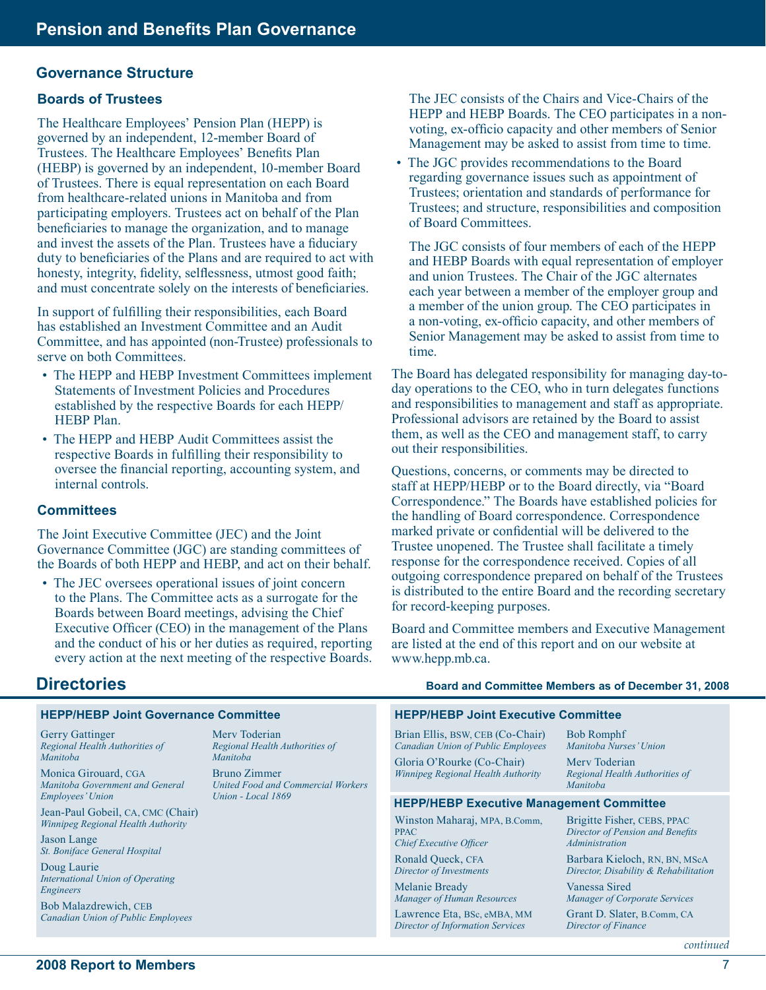#### **Governance Structure**

#### **Boards of Trustees**

The Healthcare Employees' Pension Plan (HEPP) is governed by an independent, 12-member Board of Trustees. The Healthcare Employees' Benefits Plan (HEBP) is governed by an independent, 10-member Board of Trustees. There is equal representation on each Board from healthcare-related unions in Manitoba and from participating employers. Trustees act on behalf of the Plan beneficiaries to manage the organization, and to manage and invest the assets of the Plan. Trustees have a fiduciary duty to beneficiaries of the Plans and are required to act with honesty, integrity, fidelity, selflessness, utmost good faith; and must concentrate solely on the interests of beneficiaries.

In support of fulfilling their responsibilities, each Board has established an Investment Committee and an Audit Committee, and has appointed (non-Trustee) professionals to serve on both Committees.

- The HEPP and HEBP Investment Committees implement Statements of Investment Policies and Procedures established by the respective Boards for each HEPP/ HEBP Plan.
- The HEPP and HEBP Audit Committees assist the respective Boards in fulfilling their responsibility to oversee the financial reporting, accounting system, and internal controls.

#### **Committees**

The Joint Executive Committee (JEC) and the Joint Governance Committee (JGC) are standing committees of the Boards of both HEPP and HEBP, and act on their behalf.

• The JEC oversees operational issues of joint concern to the Plans. The Committee acts as a surrogate for the Boards between Board meetings, advising the Chief Executive Officer (CEO) in the management of the Plans and the conduct of his or her duties as required, reporting every action at the next meeting of the respective Boards.

The JEC consists of the Chairs and Vice-Chairs of the HEPP and HEBP Boards. The CEO participates in a nonvoting, ex-officio capacity and other members of Senior Management may be asked to assist from time to time.

• The JGC provides recommendations to the Board regarding governance issues such as appointment of Trustees; orientation and standards of performance for Trustees; and structure, responsibilities and composition of Board Committees.

The JGC consists of four members of each of the HEPP and HEBP Boards with equal representation of employer and union Trustees. The Chair of the JGC alternates each year between a member of the employer group and a member of the union group. The CEO participates in a non-voting, ex-officio capacity, and other members of Senior Management may be asked to assist from time to time.

The Board has delegated responsibility for managing day-today operations to the CEO, who in turn delegates functions and responsibilities to management and staff as appropriate. Professional advisors are retained by the Board to assist them, as well as the CEO and management staff, to carry out their responsibilities.

Questions, concerns, or comments may be directed to staff at HEPP/HEBP or to the Board directly, via "Board Correspondence." The Boards have established policies for the handling of Board correspondence. Correspondence marked private or confidential will be delivered to the Trustee unopened. The Trustee shall facilitate a timely response for the correspondence received. Copies of all outgoing correspondence prepared on behalf of the Trustees is distributed to the entire Board and the recording secretary for record-keeping purposes.

Board and Committee members and Executive Management are listed at the end of this report and on our website at www.hepp.mb.ca.

### **Directories**

#### **HEPP/HEBP Joint Governance Committee**

Gerry Gattinger *Regional Health Authorities of Manitoba*

Monica Girouard, CGA *Manitoba Government and General Employees' Union*

Jean-Paul Gobeil, CA, CMC (Chair) *Winnipeg Regional Health Authority*

Jason Lange *St. Boniface General Hospital*

Doug Laurie *International Union of Operating Engineers*

Bob Malazdrewich, CEB *Canadian Union of Public Employees* Merv Toderian *Regional Health Authorities of Manitoba*

Bruno Zimmer *United Food and Commercial Workers Union - Local 1869*

#### **Board and Committee Members as of December 31, 2008**

#### **HEPP/HEBP Joint Executive Committee**

Brian Ellis, BSW, CEB (Co-Chair) *Canadian Union of Public Employees* Gloria O'Rourke (Co-Chair) *Winnipeg Regional Health Authority*

Bob Romphf *Manitoba Nurses' Union* Merv Toderian *Regional Health Authorities of Manitoba*

#### **HEPP/HEBP Executive Management Committee**

Winston Maharaj, MPA, B.Comm, PPAC *Chief Executive Officer* Ronald Queck, CFA *Director of Investments* Melanie Bready *Manager of Human Resources* Lawrence Eta, BSc, eMBA, MM *Director of Information Services* Brigitte Fisher, CEBS, PPAC *Director of Pension and Benefits Administration* Barbara Kieloch, RN, BN, MScA *Director, Disability & Rehabilitation* Vanessa Sired *Manager of Corporate Services* Grant D. Slater, B.Comm, CA *Director of Finance*

*continued*